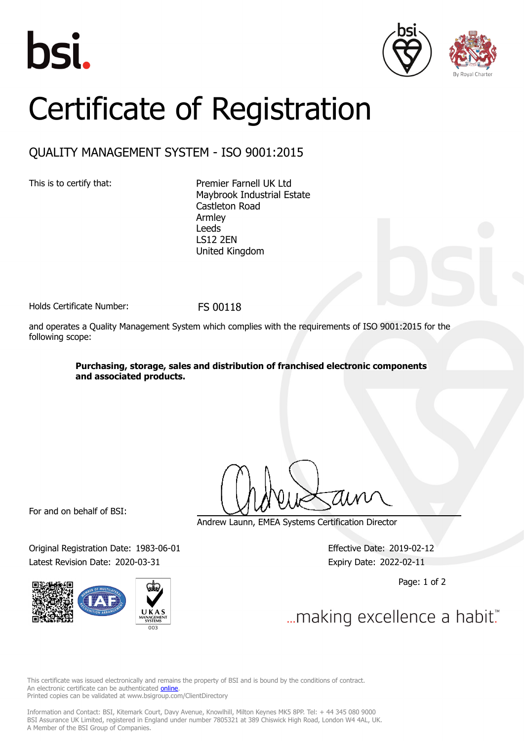





## Certificate of Registration

## QUALITY MANAGEMENT SYSTEM - ISO 9001:2015

This is to certify that: Premier Farnell UK Ltd Maybrook Industrial Estate Castleton Road Armley Leeds LS12 2EN United Kingdom

Holds Certificate Number: FS 00118

and operates a Quality Management System which complies with the requirements of ISO 9001:2015 for the following scope:

> **Purchasing, storage, sales and distribution of franchised electronic components and associated products.**

For and on behalf of BSI:

Original Registration Date: 1983-06-01 Effective Date: 2019-02-12 Latest Revision Date: 2020-03-31 Expiry Date: 2022-02-11



Andrew Launn, EMEA Systems Certification Director

Page: 1 of 2

... making excellence a habit."

This certificate was issued electronically and remains the property of BSI and is bound by the conditions of contract. An electronic certificate can be authenticated **[online](https://pgplus.bsigroup.com/CertificateValidation/CertificateValidator.aspx?CertificateNumber=FS+00118&ReIssueDate=31%2f03%2f2020&Template=uk)**. Printed copies can be validated at www.bsigroup.com/ClientDirectory

Information and Contact: BSI, Kitemark Court, Davy Avenue, Knowlhill, Milton Keynes MK5 8PP. Tel: + 44 345 080 9000 BSI Assurance UK Limited, registered in England under number 7805321 at 389 Chiswick High Road, London W4 4AL, UK. A Member of the BSI Group of Companies.